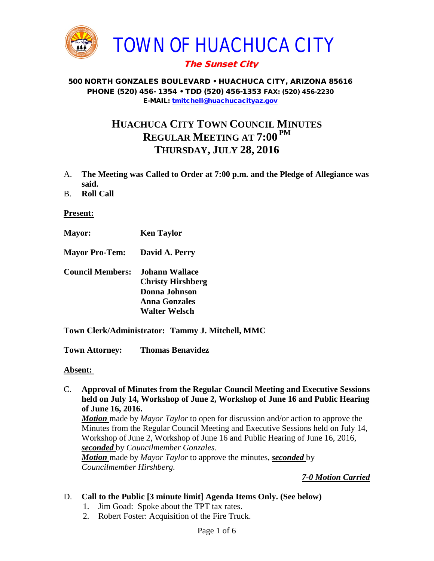

# The Sunset City

#### 500 NORTH GONZALES BOULEVARD • HUACHUCA CITY, ARIZONA 85616 PHONE (520) 456- 1354 • TDD (520) 456-1353 FAX: (520) 456-2230 E-MAIL: [tmitchell@huachucacityaz.gov](mailto:tmitchell@huachucacityaz.gov)

# **HUACHUCA CITY TOWN COUNCIL MINUTES REGULAR MEETING AT 7:00 PM THURSDAY, JULY 28, 2016**

- A. **The Meeting was Called to Order at 7:00 p.m. and the Pledge of Allegiance was said.**
- B. **Roll Call**

### **Present:**

- **Mayor: Ken Taylor**
- **Mayor Pro-Tem: David A. Perry**
- **Council Members: Johann Wallace Christy Hirshberg Donna Johnson Anna Gonzales Walter Welsch**
- **Town Clerk/Administrator: Tammy J. Mitchell, MMC**

**Town Attorney: Thomas Benavidez**

#### **Absent:**

C. **Approval of Minutes from the Regular Council Meeting and Executive Sessions held on July 14, Workshop of June 2, Workshop of June 16 and Public Hearing of June 16, 2016.** *Motion* made by *Mayor Taylor* to open for discussion and/or action to approve the

Minutes from the Regular Council Meeting and Executive Sessions held on July 14, Workshop of June 2, Workshop of June 16 and Public Hearing of June 16, 2016, *seconded* by *Councilmember Gonzales. Motion* made by *Mayor Taylor* to approve the minutes, *seconded* by

*Councilmember Hirshberg.*

*7-0 Motion Carried*

## D. **Call to the Public [3 minute limit] Agenda Items Only. (See below)**

- 1. Jim Goad: Spoke about the TPT tax rates.
- 2. Robert Foster: Acquisition of the Fire Truck.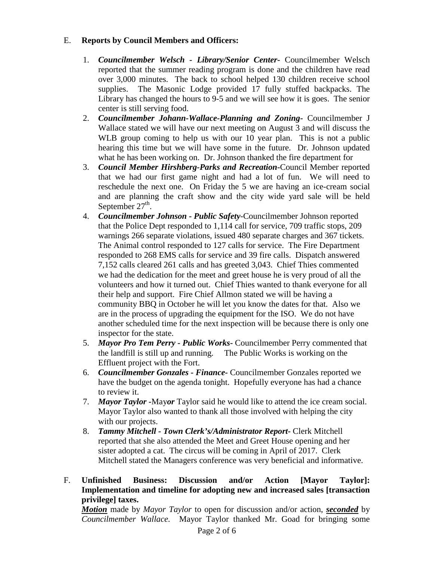## E. **Reports by Council Members and Officers:**

- 1. *Councilmember Welsch - Library/Senior Center***-** Councilmember Welsch reported that the summer reading program is done and the children have read over 3,000 minutes. The back to school helped 130 children receive school supplies. The Masonic Lodge provided 17 fully stuffed backpacks. The Library has changed the hours to 9-5 and we will see how it is goes. The senior center is still serving food.
- 2. *Councilmember Johann-Wallace-Planning and Zoning***-** Councilmember J Wallace stated we will have our next meeting on August 3 and will discuss the WLB group coming to help us with our 10 year plan. This is not a public hearing this time but we will have some in the future. Dr. Johnson updated what he has been working on. Dr. Johnson thanked the fire department for
- 3. *Council Member Hirshberg-Parks and Recreation***-**Council Member reported that we had our first game night and had a lot of fun. We will need to reschedule the next one. On Friday the 5 we are having an ice-cream social and are planning the craft show and the city wide yard sale will be held September  $27<sup>th</sup>$ .
- 4. *Councilmember Johnson - Public Safety-*Councilmember Johnson reported that the Police Dept responded to 1,114 call for service, 709 traffic stops, 209 warnings 266 separate violations, issued 480 separate charges and 367 tickets. The Animal control responded to 127 calls for service. The Fire Department responded to 268 EMS calls for service and 39 fire calls. Dispatch answered 7,152 calls cleared 261 calls and has greeted 3,043. Chief Thies commented we had the dedication for the meet and greet house he is very proud of all the volunteers and how it turned out. Chief Thies wanted to thank everyone for all their help and support. Fire Chief Allmon stated we will be having a community BBQ in October he will let you know the dates for that. Also we are in the process of upgrading the equipment for the ISO. We do not have another scheduled time for the next inspection will be because there is only one inspector for the state.
- 5. *Mayor Pro Tem Perry - Public Works-* Councilmember Perry commented that the landfill is still up and running. The Public Works is working on the Effluent project with the Fort.
- 6. *Councilmember Gonzales - Finance-* Councilmember Gonzales reported we have the budget on the agenda tonight. Hopefully everyone has had a chance to review it.
- 7. *Mayor Taylor -*May*or* Taylor said he would like to attend the ice cream social. Mayor Taylor also wanted to thank all those involved with helping the city with our projects.
- 8. *Tammy Mitchell - Town Clerk's/Administrator Report-* Clerk Mitchell reported that she also attended the Meet and Greet House opening and her sister adopted a cat. The circus will be coming in April of 2017. Clerk Mitchell stated the Managers conference was very beneficial and informative.
- F. **Unfinished Business: Discussion and/or Action [Mayor Taylor]: Implementation and timeline for adopting new and increased sales [transaction privilege] taxes.**

*Motion* made by *Mayor Taylor* to open for discussion and/or action, *seconded* by *Councilmember Wallace.* Mayor Taylor thanked Mr. Goad for bringing some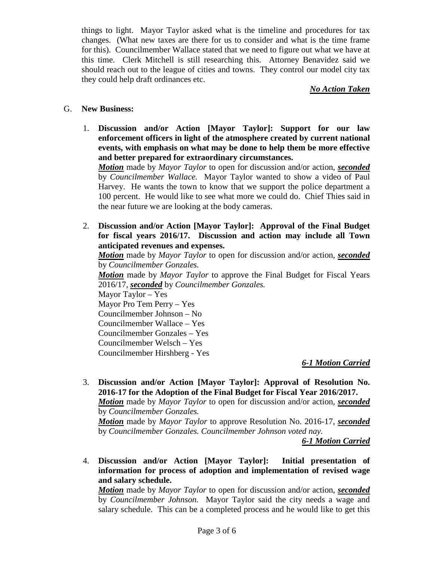things to light. Mayor Taylor asked what is the timeline and procedures for tax changes. (What new taxes are there for us to consider and what is the time frame for this). Councilmember Wallace stated that we need to figure out what we have at this time. Clerk Mitchell is still researching this. Attorney Benavidez said we should reach out to the league of cities and towns. They control our model city tax they could help draft ordinances etc.

#### *No Action Taken*

#### G. **New Business:**

1. **Discussion and/or Action [Mayor Taylor]: Support for our law enforcement officers in light of the atmosphere created by current national events, with emphasis on what may be done to help them be more effective and better prepared for extraordinary circumstances.**

*Motion* made by *Mayor Taylor* to open for discussion and/or action, *seconded* by *Councilmember Wallace.* Mayor Taylor wanted to show a video of Paul Harvey. He wants the town to know that we support the police department a 100 percent. He would like to see what more we could do. Chief Thies said in the near future we are looking at the body cameras.

2. **Discussion and/or Action [Mayor Taylor]: Approval of the Final Budget for fiscal years 2016/17. Discussion and action may include all Town anticipated revenues and expenses.**

*Motion* made by *Mayor Taylor* to open for discussion and/or action, *seconded* by *Councilmember Gonzales. Motion* made by *Mayor Taylor* to approve the Final Budget for Fiscal Years

2016/17, *seconded* by *Councilmember Gonzales.*

Mayor Taylor – Yes Mayor Pro Tem Perry – Yes Councilmember Johnson – No Councilmember Wallace – Yes Councilmember Gonzales – Yes Councilmember Welsch – Yes Councilmember Hirshberg - Yes

## *6-1 Motion Carried*

3. **Discussion and/or Action [Mayor Taylor]: Approval of Resolution No. 2016-17 for the Adoption of the Final Budget for Fiscal Year 2016/2017.** *Motion* made by *Mayor Taylor* to open for discussion and/or action, *seconded*

by *Councilmember Gonzales.*

*Motion* made by *Mayor Taylor* to approve Resolution No. 2016-17, *seconded* by *Councilmember Gonzales. Councilmember Johnson voted nay.* 

*6-1 Motion Carried*

4. **Discussion and/or Action [Mayor Taylor]: Initial presentation of information for process of adoption and implementation of revised wage and salary schedule.**

*Motion* made by *Mayor Taylor* to open for discussion and/or action, *seconded* by *Councilmember Johnson.* Mayor Taylor said the city needs a wage and salary schedule. This can be a completed process and he would like to get this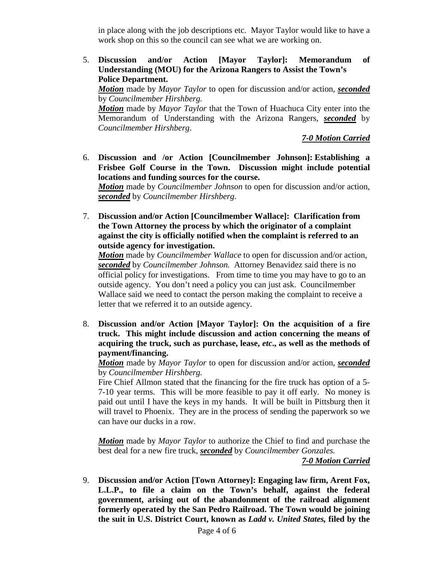in place along with the job descriptions etc. Mayor Taylor would like to have a work shop on this so the council can see what we are working on.

5. **Discussion and/or Action [Mayor Taylor]: Memorandum of Understanding (MOU) for the Arizona Rangers to Assist the Town's Police Department.** 

*Motion* made by *Mayor Taylor* to open for discussion and/or action, *seconded* by *Councilmember Hirshberg.*

*Motion* made by *Mayor Taylor* that the Town of Huachuca City enter into the Memorandum of Understanding with the Arizona Rangers, *seconded* by *Councilmember Hirshberg*.

*7-0 Motion Carried*

6. **Discussion and /or Action [Councilmember Johnson]: Establishing a Frisbee Golf Course in the Town. Discussion might include potential locations and funding sources for the course.**  *Motion* made by *Councilmember Johnson* to open for discussion and/or action,

*seconded* by *Councilmember Hirshberg.*

7. **Discussion and/or Action [Councilmember Wallace]: Clarification from the Town Attorney the process by which the originator of a complaint against the city is officially notified when the complaint is referred to an outside agency for investigation.** 

*Motion* made by *Councilmember Wallace* to open for discussion and/or action, *seconded* by *Councilmember Johnson.* Attorney Benavidez said there is no official policy for investigations. From time to time you may have to go to an outside agency. You don't need a policy you can just ask. Councilmember Wallace said we need to contact the person making the complaint to receive a letter that we referred it to an outside agency.

8. **Discussion and/or Action [Mayor Taylor]: On the acquisition of a fire truck. This might include discussion and action concerning the means of acquiring the truck, such as purchase, lease,** *etc***., as well as the methods of payment/financing.**

*Motion* made by *Mayor Taylor* to open for discussion and/or action, *seconded* by *Councilmember Hirshberg.* 

Fire Chief Allmon stated that the financing for the fire truck has option of a 5- 7-10 year terms. This will be more feasible to pay it off early. No money is paid out until I have the keys in my hands. It will be built in Pittsburg then it will travel to Phoenix. They are in the process of sending the paperwork so we can have our ducks in a row.

*Motion* made by *Mayor Taylor* to authorize the Chief to find and purchase the best deal for a new fire truck, *seconded* by *Councilmember Gonzales.* 

*7-0 Motion Carried*

9. **Discussion and/or Action [Town Attorney]: Engaging law firm, Arent Fox, L.L.P., to file a claim on the Town's behalf, against the federal government, arising out of the abandonment of the railroad alignment formerly operated by the San Pedro Railroad. The Town would be joining the suit in U.S. District Court, known as** *Ladd v. United States,* **filed by the**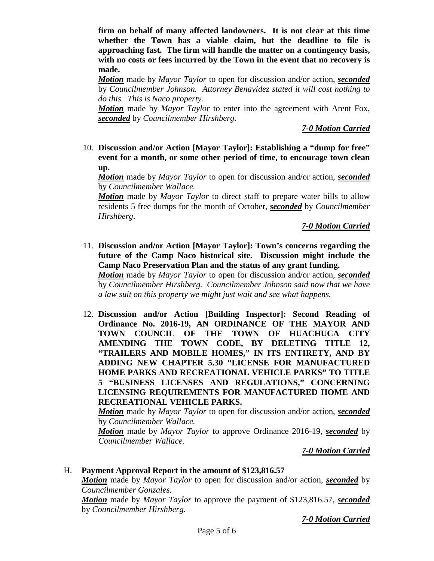**firm on behalf of many affected landowners. It is not clear at this time whether the Town has a viable claim, but the deadline to file is approaching fast. The firm will handle the matter on a contingency basis, with no costs or fees incurred by the Town in the event that no recovery is made.** 

*Motion* made by *Mayor Taylor* to open for discussion and/or action, *seconded* by *Councilmember Johnson. Attorney Benavidez stated it will cost nothing to do this. This is Naco property.* 

*Motion* made by *Mayor Taylor* to enter into the agreement with Arent Fox, *seconded* by *Councilmember Hirshberg.*

*7-0 Motion Carried*

10. **Discussion and/or Action [Mayor Taylor]: Establishing a "dump for free" event for a month, or some other period of time, to encourage town clean up.**

*Motion* made by *Mayor Taylor* to open for discussion and/or action, *seconded* by *Councilmember Wallace.*

*Motion* made by *Mayor Taylor* to direct staff to prepare water bills to allow residents 5 free dumps for the month of October, *seconded* by *Councilmember Hirshberg*.

*7-0 Motion Carried*

11. **Discussion and/or Action [Mayor Taylor]: Town's concerns regarding the future of the Camp Naco historical site. Discussion might include the Camp Naco Preservation Plan and the status of any grant funding.** 

*Motion* made by *Mayor Taylor* to open for discussion and/or action, *seconded* by *Councilmember Hirshberg. Councilmember Johnson said now that we have a law suit on this property we might just wait and see what happens.* 

12. **Discussion and/or Action [Building Inspector]: Second Reading of Ordinance No. 2016-19, AN ORDINANCE OF THE MAYOR AND TOWN COUNCIL OF THE TOWN OF HUACHUCA CITY AMENDING THE TOWN CODE, BY DELETING TITLE 12, "TRAILERS AND MOBILE HOMES," IN ITS ENTIRETY, AND BY ADDING NEW CHAPTER 5.30 "LICENSE FOR MANUFACTURED HOME PARKS AND RECREATIONAL VEHICLE PARKS" TO TITLE 5 "BUSINESS LICENSES AND REGULATIONS," CONCERNING LICENSING REQUIREMENTS FOR MANUFACTURED HOME AND RECREATIONAL VEHICLE PARKS.**

*Motion* made by *Mayor Taylor* to open for discussion and/or action, *seconded* by *Councilmember Wallace.*

*Motion* made by *Mayor Taylor* to approve Ordinance 2016-19, *seconded* by *Councilmember Wallace.*

*7-0 Motion Carried*

H. **Payment Approval Report in the amount of \$123,816.57**

*Motion* made by *Mayor Taylor* to open for discussion and/or action, *seconded* by *Councilmember Gonzales.*

*Motion* made by *Mayor Taylor* to approve the payment of \$123,816.57, *seconded* by *Councilmember Hirshberg.*

*7-0 Motion Carried*